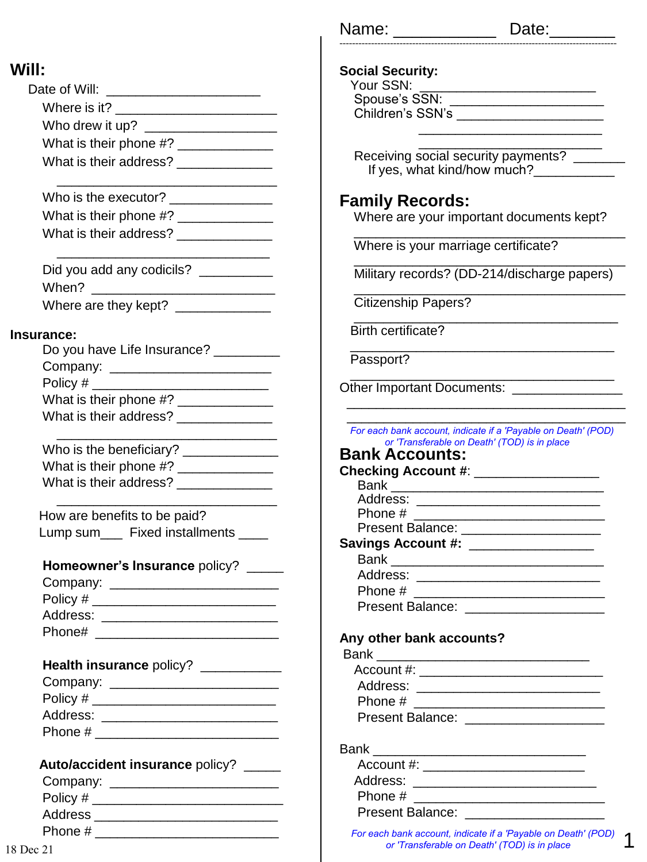| Date of Will:          |
|------------------------|
| Where is it?           |
| Who drew it up?        |
| What is their phone #? |
| What is their address? |
|                        |

| Who is the executor?   |  |
|------------------------|--|
| What is their phone #? |  |
| What is their address? |  |

 $\frac{1}{\sqrt{2}}$  ,  $\frac{1}{\sqrt{2}}$  ,  $\frac{1}{\sqrt{2}}$  ,  $\frac{1}{\sqrt{2}}$  ,  $\frac{1}{\sqrt{2}}$  ,  $\frac{1}{\sqrt{2}}$  ,  $\frac{1}{\sqrt{2}}$  ,  $\frac{1}{\sqrt{2}}$  ,  $\frac{1}{\sqrt{2}}$  ,  $\frac{1}{\sqrt{2}}$  ,  $\frac{1}{\sqrt{2}}$  ,  $\frac{1}{\sqrt{2}}$  ,  $\frac{1}{\sqrt{2}}$  ,  $\frac{1}{\sqrt{2}}$  ,  $\frac{1}{\sqrt{2}}$ 

| Did you add any codicils? |  |
|---------------------------|--|
| When?                     |  |
| Where are they kept?      |  |

#### **Insurance:**

| Do you have Life Insurance? _ |
|-------------------------------|
| Company: _________            |
| Policy #                      |
| What is their phone #?        |
| What is their address?        |
|                               |

| Who is the beneficiary? |  |
|-------------------------|--|
| What is their phone #?  |  |
| What is their address?  |  |

 $\frac{1}{\sqrt{2}}$  ,  $\frac{1}{\sqrt{2}}$  ,  $\frac{1}{\sqrt{2}}$  ,  $\frac{1}{\sqrt{2}}$  ,  $\frac{1}{\sqrt{2}}$  ,  $\frac{1}{\sqrt{2}}$  ,  $\frac{1}{\sqrt{2}}$  ,  $\frac{1}{\sqrt{2}}$  ,  $\frac{1}{\sqrt{2}}$  ,  $\frac{1}{\sqrt{2}}$  ,  $\frac{1}{\sqrt{2}}$  ,  $\frac{1}{\sqrt{2}}$  ,  $\frac{1}{\sqrt{2}}$  ,  $\frac{1}{\sqrt{2}}$  ,  $\frac{1}{\sqrt{2}}$ 

 How are benefits to be paid? Lump sum\_\_\_ Fixed installments \_\_\_\_

| Homeowner's Insurance policy? |  |  |
|-------------------------------|--|--|
|-------------------------------|--|--|

| Company: |  |
|----------|--|
| Policy # |  |
| Address: |  |
| Phone#   |  |
|          |  |

| Health insurance policy?       |  |
|--------------------------------|--|
| Company: _____________________ |  |
| Policy $#_$                    |  |
| Address:                       |  |
| Phone #                        |  |

| Auto/accident insurance policy? |  |  |  |
|---------------------------------|--|--|--|
|---------------------------------|--|--|--|

| Company: |  |
|----------|--|
| Policy # |  |
| Address  |  |
| Phone #  |  |

| Name:                             | Date:______                                                   |
|-----------------------------------|---------------------------------------------------------------|
| <b>Social Security:</b>           |                                                               |
| Your SSN:                         |                                                               |
| Spouse's SSN:                     |                                                               |
| Children's SSN's                  |                                                               |
|                                   |                                                               |
|                                   | Receiving social security payments?                           |
|                                   | If yes, what kind/how much?                                   |
|                                   |                                                               |
| <b>Family Records:</b>            |                                                               |
|                                   | Where are your important documents kept?                      |
|                                   | Where is your marriage certificate?                           |
|                                   |                                                               |
|                                   | Military records? (DD-214/discharge papers)                   |
| <b>Citizenship Papers?</b>        |                                                               |
| <b>Birth certificate?</b>         |                                                               |
| Passport?                         |                                                               |
| <b>Other Important Documents:</b> |                                                               |
|                                   |                                                               |
|                                   | For each bank account, indicate if a 'Payable on Death' (POD) |
|                                   | or 'Transferable on Death' (TOD) is in place                  |
| <b>Bank Accounts:</b>             |                                                               |
| <b>Checking Account #:</b>        |                                                               |
| Bank                              | <u> 1980 - Jan Barbarat, manala</u>                           |
| Address:<br>Phone #               |                                                               |
|                                   | Present Balance: __________________                           |
| <b>Savings Account #:</b>         |                                                               |
| <b>Bank</b>                       |                                                               |
| Address:                          |                                                               |
| Phone #                           |                                                               |
|                                   |                                                               |

### **Any other bank accounts?**

| Address: _______________________ |  |
|----------------------------------|--|
| Phone #                          |  |
| Present Balance:                 |  |
|                                  |  |
| Bank ___________________         |  |
| Account #: ________________      |  |
| Address: ________________        |  |
| Phone #                          |  |

Present Balance: \_\_\_\_\_\_\_\_\_\_\_\_\_\_\_\_\_\_\_

Present Balance: \_\_\_\_\_\_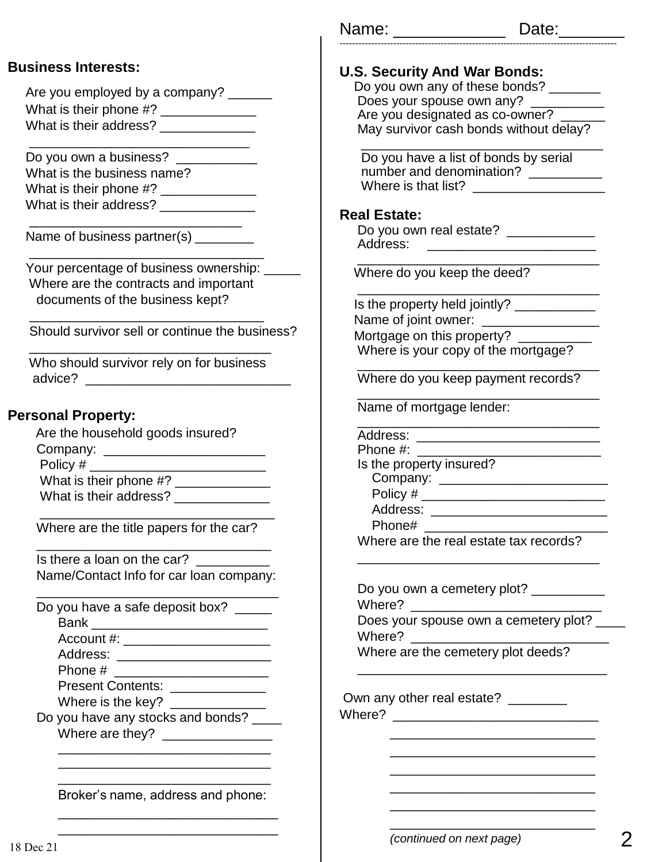#### **Business Interests:**

| Are you employed by a company? |
|--------------------------------|
| What is their phone #?         |
| What is their address?         |

\_\_\_\_\_\_\_\_\_\_\_\_\_\_\_\_\_\_\_\_\_\_\_\_\_\_\_\_\_\_

Do you own a business? \_\_\_\_\_\_\_\_\_ What is the business name? What is their phone #? \_\_\_\_\_\_\_\_\_\_\_\_\_ What is their address? \_\_\_\_\_\_\_\_\_\_\_\_\_

 $\frac{1}{2}$  , and the set of the set of the set of the set of the set of the set of the set of the set of the set of the set of the set of the set of the set of the set of the set of the set of the set of the set of the set

\_\_\_\_\_\_\_\_\_\_\_\_\_\_\_\_\_\_\_\_\_\_\_\_\_\_\_\_\_\_\_\_

Name of business partner(s) \_\_\_\_\_\_\_

Your percentage of business ownership: \_\_\_\_\_\_ Where are the contracts and important documents of the business kept?

Should survivor sell or continue the business?

\_\_\_\_\_\_\_\_\_\_\_\_\_\_\_\_\_\_\_\_\_\_\_\_\_\_\_\_\_\_\_\_\_ Who should survivor rely on for business advice? \_\_\_\_\_\_\_\_\_\_\_\_\_\_\_\_\_\_\_\_\_\_\_\_\_\_\_\_

\_\_\_\_\_\_\_\_\_\_\_\_\_\_\_\_\_\_\_\_\_\_\_\_\_\_\_\_\_\_\_\_

#### **Personal Property:**

| Are the household goods insured? |
|----------------------------------|
| Company: __                      |
| Policy #                         |
| What is their phone #?           |
| What is their address?           |

 Where are the title papers for the car? \_\_\_\_\_\_\_\_\_\_\_\_\_\_\_\_\_\_\_\_\_\_\_\_\_\_\_\_\_\_\_\_

Is there a loan on the car? Name/Contact Info for car loan company:

\_\_\_\_\_\_\_\_\_\_\_\_\_\_\_\_\_\_\_\_\_\_\_\_\_\_\_\_\_\_\_\_\_

\_\_\_\_\_\_\_\_\_\_\_\_\_\_\_\_\_\_\_\_\_\_\_\_\_\_\_\_\_\_\_\_

Do you have a safe deposit box? \_\_\_\_\_

Bank \_\_\_\_\_\_\_\_\_\_\_\_\_\_\_\_\_\_\_\_\_\_\_\_

Account #: \_\_\_\_\_\_\_\_\_\_\_\_\_\_\_\_\_\_\_\_

Address: \_\_\_\_\_\_\_\_\_\_\_\_\_\_\_\_\_\_\_\_\_

Phone # \_\_\_\_\_\_\_\_\_\_\_\_\_\_\_\_\_\_\_\_\_

Present Contents: \_\_\_\_\_\_\_\_\_\_\_\_\_\_

Where is the key? \_\_\_\_\_\_\_\_\_\_\_\_\_

Do you have any stocks and bonds? Where are they? \_\_\_\_\_\_\_\_\_\_\_\_\_\_\_

\_\_\_\_\_\_\_\_\_\_\_\_\_\_\_\_\_\_\_\_\_\_\_\_\_\_\_\_\_ Broker's name, address and phone: \_\_\_\_\_\_\_\_\_\_\_\_\_\_\_\_\_\_\_\_\_\_\_\_\_\_\_\_\_\_

\_\_\_\_\_\_\_\_\_\_\_\_\_\_\_\_\_\_\_\_\_\_\_\_\_\_\_\_\_ \_\_\_\_\_\_\_\_\_\_\_\_\_\_\_\_\_\_\_\_\_\_\_\_\_\_\_\_\_

| Name: | Date: |
|-------|-------|
|-------|-------|

----------------------------------------------------------------------------------------

| <b>U.S. Security And War Bonds:</b>                                                               |
|---------------------------------------------------------------------------------------------------|
| Do you own any of these bonds?                                                                    |
| Does your spouse own any?                                                                         |
| Are you designated as co-owner?                                                                   |
| May survivor cash bonds without delay?                                                            |
| Do you have a list of bonds by serial<br>number and denomination? __________                      |
|                                                                                                   |
| <b>Real Estate:</b>                                                                               |
| Do you own real estate? ____________<br>Address:<br><u> 1980 - Andrea Andrew Maria (h. 1980).</u> |
| Where do you keep the deed?                                                                       |
| Is the property held jointly? _____________                                                       |
| Name of joint owner: __________________                                                           |
| Mortgage on this property?                                                                        |
| Where is your copy of the mortgage?                                                               |
| Where do you keep payment records?                                                                |
| Name of mortgage lender:                                                                          |
| Address:                                                                                          |
| Phone #:                                                                                          |
| Is the property insured?                                                                          |
|                                                                                                   |
|                                                                                                   |
| Address:                                                                                          |
| Phone#<br>Where are the real estate tax records?                                                  |
|                                                                                                   |
| Do you own a cemetery plot? ____                                                                  |
| Where?                                                                                            |
| Does your spouse own a cemetery plot? _                                                           |
| Where?                                                                                            |
| Where are the cemetery plot deeds?                                                                |
|                                                                                                   |
| Own any other real estate? ________                                                               |
|                                                                                                   |
|                                                                                                   |
|                                                                                                   |
|                                                                                                   |
|                                                                                                   |

\_\_\_\_\_\_\_\_\_\_\_\_\_\_\_\_\_\_\_\_\_\_\_\_\_\_\_\_